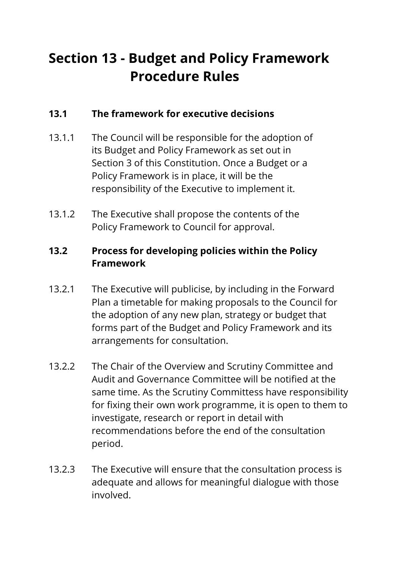# **Section 13 - Budget and Policy Framework Procedure Rules**

## **13.1 The framework for executive decisions**

- 13.1.1 The Council will be responsible for the adoption of its Budget and Policy Framework as set out in Section 3 of this Constitution. Once a Budget or a Policy Framework is in place, it will be the responsibility of the Executive to implement it.
- 13.1.2 The Executive shall propose the contents of the Policy Framework to Council for approval.

## **13.2 Process for developing policies within the Policy Framework**

- 13.2.1 The Executive will publicise, by including in the Forward Plan a timetable for making proposals to the Council for the adoption of any new plan, strategy or budget that forms part of the Budget and Policy Framework and its arrangements for consultation.
- 13.2.2 The Chair of the Overview and Scrutiny Committee and Audit and Governance Committee will be notified at the same time. As the Scrutiny Committess have responsibility for fixing their own work programme, it is open to them to investigate, research or report in detail with recommendations before the end of the consultation period.
- 13.2.3 The Executive will ensure that the consultation process is adequate and allows for meaningful dialogue with those involved.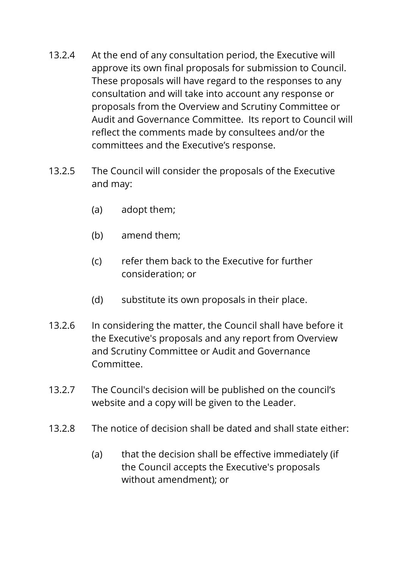- 13.2.4 At the end of any consultation period, the Executive will approve its own final proposals for submission to Council. These proposals will have regard to the responses to any consultation and will take into account any response or proposals from the Overview and Scrutiny Committee or Audit and Governance Committee. Its report to Council will reflect the comments made by consultees and/or the committees and the Executive's response.
- 13.2.5 The Council will consider the proposals of the Executive and may:
	- (a) adopt them;
	- (b) amend them;
	- (c) refer them back to the Executive for further consideration; or
	- (d) substitute its own proposals in their place.
- 13.2.6 In considering the matter, the Council shall have before it the Executive's proposals and any report from Overview and Scrutiny Committee or Audit and Governance Committee.
- 13.2.7 The Council's decision will be published on the council's website and a copy will be given to the Leader.
- 13.2.8 The notice of decision shall be dated and shall state either:
	- (a) that the decision shall be effective immediately (if the Council accepts the Executive's proposals without amendment); or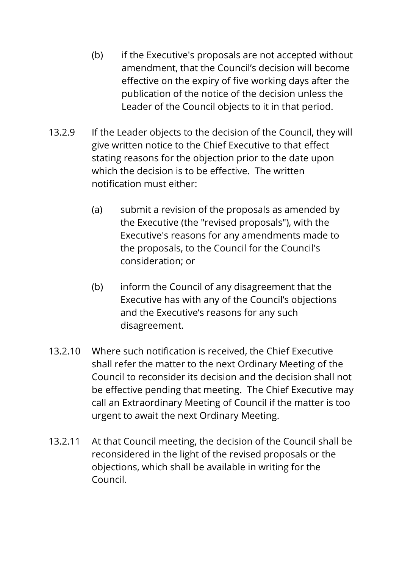- (b) if the Executive's proposals are not accepted without amendment, that the Council's decision will become effective on the expiry of five working days after the publication of the notice of the decision unless the Leader of the Council objects to it in that period.
- 13.2.9 If the Leader objects to the decision of the Council, they will give written notice to the Chief Executive to that effect stating reasons for the objection prior to the date upon which the decision is to be effective. The written notification must either:
	- (a) submit a revision of the proposals as amended by the Executive (the "revised proposals"), with the Executive's reasons for any amendments made to the proposals, to the Council for the Council's consideration; or
	- (b) inform the Council of any disagreement that the Executive has with any of the Council's objections and the Executive's reasons for any such disagreement.
- 13.2.10 Where such notification is received, the Chief Executive shall refer the matter to the next Ordinary Meeting of the Council to reconsider its decision and the decision shall not be effective pending that meeting. The Chief Executive may call an Extraordinary Meeting of Council if the matter is too urgent to await the next Ordinary Meeting.
- 13.2.11 At that Council meeting, the decision of the Council shall be reconsidered in the light of the revised proposals or the objections, which shall be available in writing for the Council.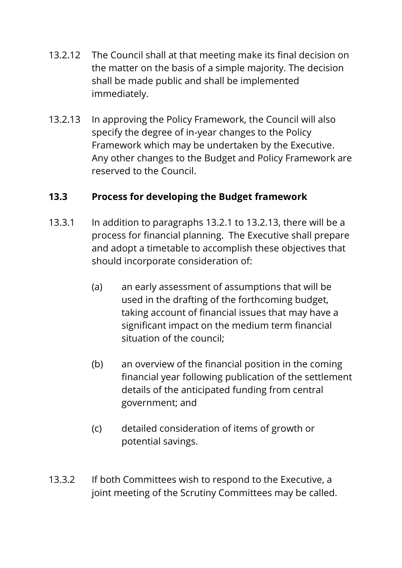- 13.2.12 The Council shall at that meeting make its final decision on the matter on the basis of a simple majority. The decision shall be made public and shall be implemented immediately.
- 13.2.13 In approving the Policy Framework, the Council will also specify the degree of in-year changes to the Policy Framework which may be undertaken by the Executive. Any other changes to the Budget and Policy Framework are reserved to the Council.

## **13.3 Process for developing the Budget framework**

- 13.3.1 In addition to paragraphs 13.2.1 to 13.2.13, there will be a process for financial planning. The Executive shall prepare and adopt a timetable to accomplish these objectives that should incorporate consideration of:
	- (a) an early assessment of assumptions that will be used in the drafting of the forthcoming budget, taking account of financial issues that may have a significant impact on the medium term financial situation of the council;
	- (b) an overview of the financial position in the coming financial year following publication of the settlement details of the anticipated funding from central government; and
	- (c) detailed consideration of items of growth or potential savings.
- 13.3.2 If both Committees wish to respond to the Executive, a joint meeting of the Scrutiny Committees may be called.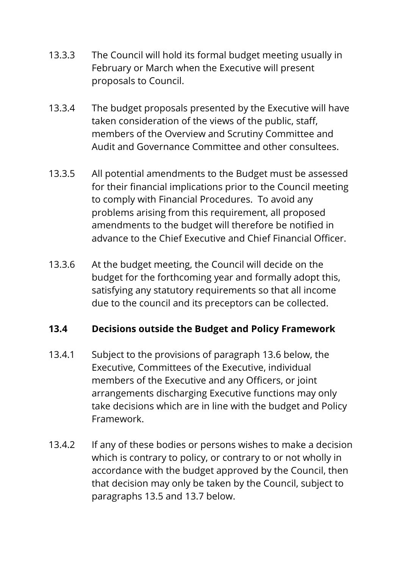- 13.3.3 The Council will hold its formal budget meeting usually in February or March when the Executive will present proposals to Council.
- 13.3.4 The budget proposals presented by the Executive will have taken consideration of the views of the public, staff, members of the Overview and Scrutiny Committee and Audit and Governance Committee and other consultees.
- 13.3.5 All potential amendments to the Budget must be assessed for their financial implications prior to the Council meeting to comply with Financial Procedures. To avoid any problems arising from this requirement, all proposed amendments to the budget will therefore be notified in advance to the Chief Executive and Chief Financial Officer.
- 13.3.6 At the budget meeting, the Council will decide on the budget for the forthcoming year and formally adopt this, satisfying any statutory requirements so that all income due to the council and its preceptors can be collected.

#### **13.4 Decisions outside the Budget and Policy Framework**

- 13.4.1 Subject to the provisions of paragraph 13.6 below, the Executive, Committees of the Executive, individual members of the Executive and any Officers, or joint arrangements discharging Executive functions may only take decisions which are in line with the budget and Policy Framework.
- 13.4.2 If any of these bodies or persons wishes to make a decision which is contrary to policy, or contrary to or not wholly in accordance with the budget approved by the Council, then that decision may only be taken by the Council, subject to paragraphs 13.5 and 13.7 below.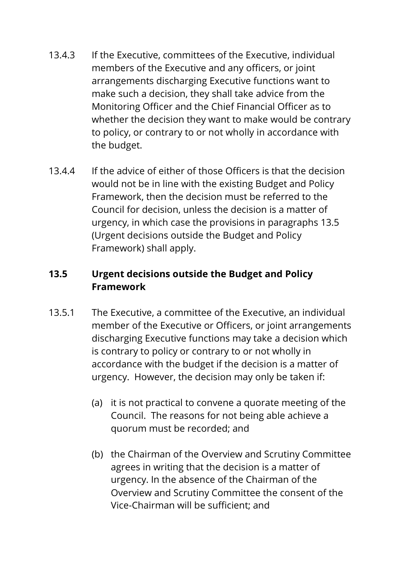- 13.4.3 If the Executive, committees of the Executive, individual members of the Executive and any officers, or joint arrangements discharging Executive functions want to make such a decision, they shall take advice from the Monitoring Officer and the Chief Financial Officer as to whether the decision they want to make would be contrary to policy, or contrary to or not wholly in accordance with the budget.
- 13.4.4 If the advice of either of those Officers is that the decision would not be in line with the existing Budget and Policy Framework, then the decision must be referred to the Council for decision, unless the decision is a matter of urgency, in which case the provisions in paragraphs 13.5 (Urgent decisions outside the Budget and Policy Framework) shall apply.

# **13.5 Urgent decisions outside the Budget and Policy Framework**

- 13.5.1 The Executive, a committee of the Executive, an individual member of the Executive or Officers, or joint arrangements discharging Executive functions may take a decision which is contrary to policy or contrary to or not wholly in accordance with the budget if the decision is a matter of urgency. However, the decision may only be taken if:
	- (a) it is not practical to convene a quorate meeting of the Council. The reasons for not being able achieve a quorum must be recorded; and
	- (b) the Chairman of the Overview and Scrutiny Committee agrees in writing that the decision is a matter of urgency. In the absence of the Chairman of the Overview and Scrutiny Committee the consent of the Vice-Chairman will be sufficient; and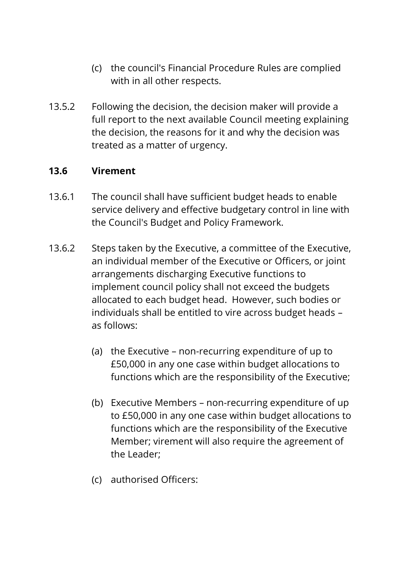- (c) the council's Financial Procedure Rules are complied with in all other respects.
- 13.5.2 Following the decision, the decision maker will provide a full report to the next available Council meeting explaining the decision, the reasons for it and why the decision was treated as a matter of urgency.

### **13.6 Virement**

- 13.6.1 The council shall have sufficient budget heads to enable service delivery and effective budgetary control in line with the Council's Budget and Policy Framework.
- 13.6.2 Steps taken by the Executive, a committee of the Executive, an individual member of the Executive or Officers, or joint arrangements discharging Executive functions to implement council policy shall not exceed the budgets allocated to each budget head. However, such bodies or individuals shall be entitled to vire across budget heads – as follows:
	- (a) the Executive non-recurring expenditure of up to £50,000 in any one case within budget allocations to functions which are the responsibility of the Executive;
	- (b) Executive Members non-recurring expenditure of up to £50,000 in any one case within budget allocations to functions which are the responsibility of the Executive Member; virement will also require the agreement of the Leader;
	- (c) authorised Officers: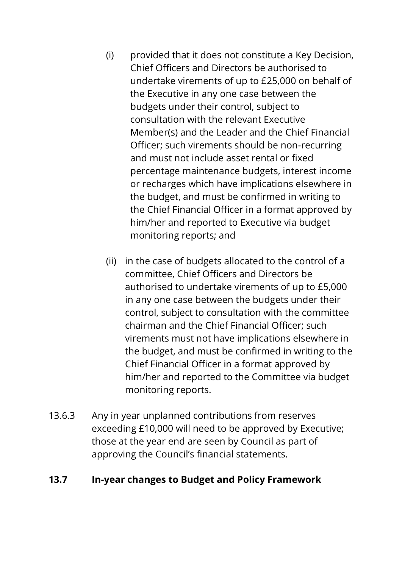- (i) provided that it does not constitute a Key Decision, Chief Officers and Directors be authorised to undertake virements of up to £25,000 on behalf of the Executive in any one case between the budgets under their control, subject to consultation with the relevant Executive Member(s) and the Leader and the Chief Financial Officer; such virements should be non-recurring and must not include asset rental or fixed percentage maintenance budgets, interest income or recharges which have implications elsewhere in the budget, and must be confirmed in writing to the Chief Financial Officer in a format approved by him/her and reported to Executive via budget monitoring reports; and
- (ii) in the case of budgets allocated to the control of a committee, Chief Officers and Directors be authorised to undertake virements of up to £5,000 in any one case between the budgets under their control, subject to consultation with the committee chairman and the Chief Financial Officer; such virements must not have implications elsewhere in the budget, and must be confirmed in writing to the Chief Financial Officer in a format approved by him/her and reported to the Committee via budget monitoring reports.
- 13.6.3 Any in year unplanned contributions from reserves exceeding £10,000 will need to be approved by Executive; those at the year end are seen by Council as part of approving the Council's financial statements.

#### **13.7 In-year changes to Budget and Policy Framework**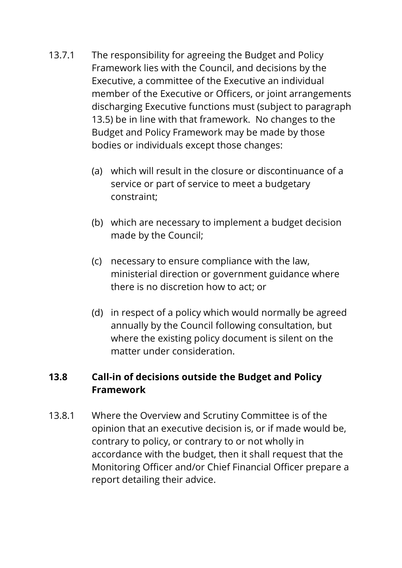- 13.7.1 The responsibility for agreeing the Budget and Policy Framework lies with the Council, and decisions by the Executive, a committee of the Executive an individual member of the Executive or Officers, or joint arrangements discharging Executive functions must (subject to paragraph 13.5) be in line with that framework. No changes to the Budget and Policy Framework may be made by those bodies or individuals except those changes:
	- (a) which will result in the closure or discontinuance of a service or part of service to meet a budgetary constraint;
	- (b) which are necessary to implement a budget decision made by the Council;
	- (c) necessary to ensure compliance with the law, ministerial direction or government guidance where there is no discretion how to act; or
	- (d) in respect of a policy which would normally be agreed annually by the Council following consultation, but where the existing policy document is silent on the matter under consideration.

## **13.8 Call-in of decisions outside the Budget and Policy Framework**

13.8.1 Where the Overview and Scrutiny Committee is of the opinion that an executive decision is, or if made would be, contrary to policy, or contrary to or not wholly in accordance with the budget, then it shall request that the Monitoring Officer and/or Chief Financial Officer prepare a report detailing their advice.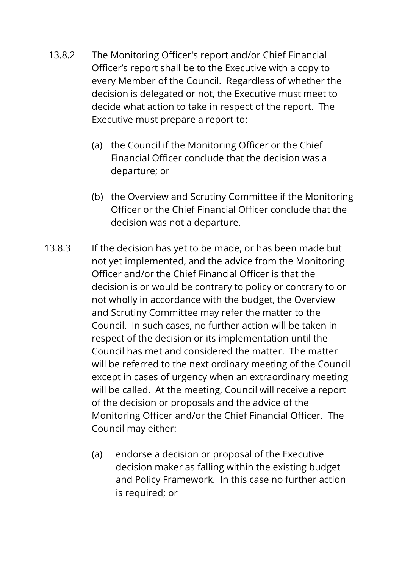- 13.8.2 The Monitoring Officer's report and/or Chief Financial Officer's report shall be to the Executive with a copy to every Member of the Council. Regardless of whether the decision is delegated or not, the Executive must meet to decide what action to take in respect of the report. The Executive must prepare a report to:
	- (a) the Council if the Monitoring Officer or the Chief Financial Officer conclude that the decision was a departure; or
	- (b) the Overview and Scrutiny Committee if the Monitoring Officer or the Chief Financial Officer conclude that the decision was not a departure.
- 13.8.3 If the decision has yet to be made, or has been made but not yet implemented, and the advice from the Monitoring Officer and/or the Chief Financial Officer is that the decision is or would be contrary to policy or contrary to or not wholly in accordance with the budget, the Overview and Scrutiny Committee may refer the matter to the Council. In such cases, no further action will be taken in respect of the decision or its implementation until the Council has met and considered the matter. The matter will be referred to the next ordinary meeting of the Council except in cases of urgency when an extraordinary meeting will be called. At the meeting, Council will receive a report of the decision or proposals and the advice of the Monitoring Officer and/or the Chief Financial Officer. The Council may either:
	- (a) endorse a decision or proposal of the Executive decision maker as falling within the existing budget and Policy Framework. In this case no further action is required; or